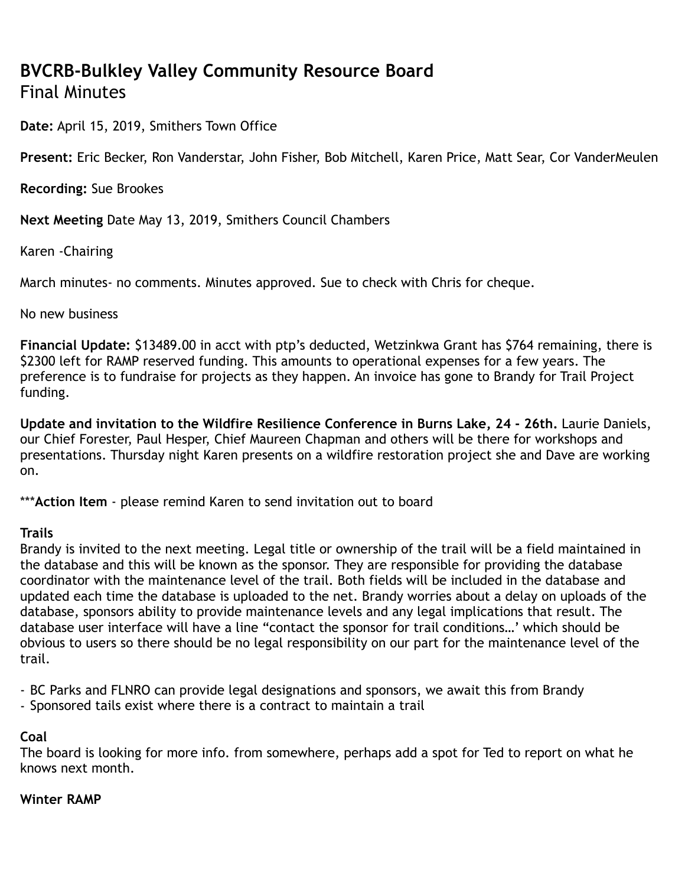# **BVCRB-Bulkley Valley Community Resource Board** Final Minutes

**Date:** April 15, 2019, Smithers Town Office

**Present:** Eric Becker, Ron Vanderstar, John Fisher, Bob Mitchell, Karen Price, Matt Sear, Cor VanderMeulen

**Recording:** Sue Brookes

**Next Meeting** Date May 13, 2019, Smithers Council Chambers

Karen -Chairing

March minutes- no comments. Minutes approved. Sue to check with Chris for cheque.

No new business

**Financial Update:** \$13489.00 in acct with ptp's deducted, Wetzinkwa Grant has \$764 remaining, there is \$2300 left for RAMP reserved funding. This amounts to operational expenses for a few years. The preference is to fundraise for projects as they happen. An invoice has gone to Brandy for Trail Project funding.

**Update and invitation to the Wildfire Resilience Conference in Burns Lake, 24 - 26th.** Laurie Daniels, our Chief Forester, Paul Hesper, Chief Maureen Chapman and others will be there for workshops and presentations. Thursday night Karen presents on a wildfire restoration project she and Dave are working on.

\*\*\***Action Item** - please remind Karen to send invitation out to board

# **Trails**

Brandy is invited to the next meeting. Legal title or ownership of the trail will be a field maintained in the database and this will be known as the sponsor. They are responsible for providing the database coordinator with the maintenance level of the trail. Both fields will be included in the database and updated each time the database is uploaded to the net. Brandy worries about a delay on uploads of the database, sponsors ability to provide maintenance levels and any legal implications that result. The database user interface will have a line "contact the sponsor for trail conditions…' which should be obvious to users so there should be no legal responsibility on our part for the maintenance level of the trail.

- BC Parks and FLNRO can provide legal designations and sponsors, we await this from Brandy
- Sponsored tails exist where there is a contract to maintain a trail

# **Coal**

The board is looking for more info. from somewhere, perhaps add a spot for Ted to report on what he knows next month.

#### **Winter RAMP**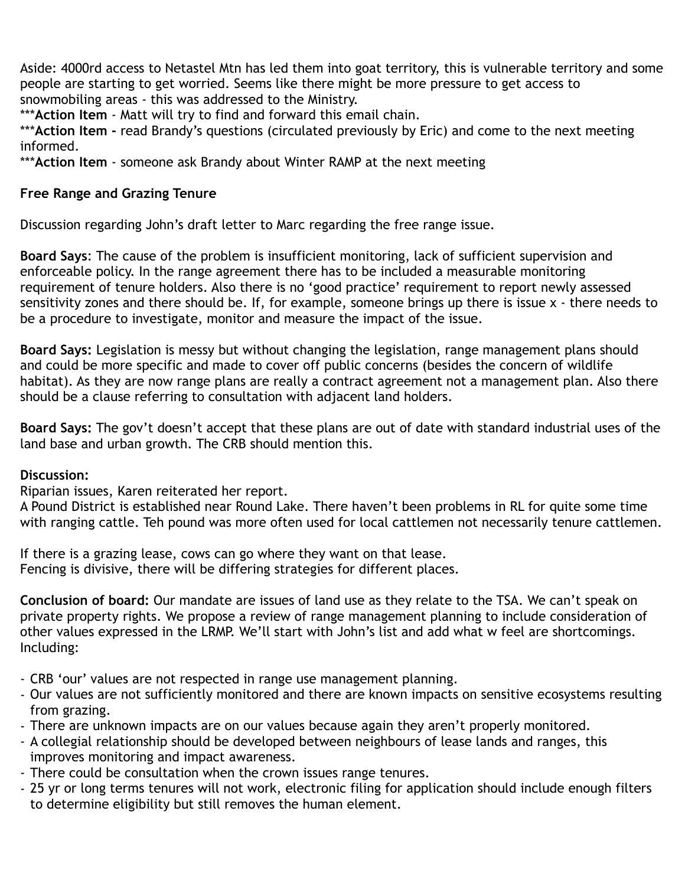Aside: 4000rd access to Netastel Mtn has led them into goat territory, this is vulnerable territory and some people are starting to get worried. Seems like there might be more pressure to get access to snowmobiling areas - this was addressed to the Ministry.

\*\*\***Action Item** - Matt will try to find and forward this email chain.

\*\*\***Action Item -** read Brandy's questions (circulated previously by Eric) and come to the next meeting informed.

\*\*\***Action Item** - someone ask Brandy about Winter RAMP at the next meeting

## **Free Range and Grazing Tenure**

Discussion regarding John's draft letter to Marc regarding the free range issue.

**Board Says**: The cause of the problem is insufficient monitoring, lack of sufficient supervision and enforceable policy. In the range agreement there has to be included a measurable monitoring requirement of tenure holders. Also there is no 'good practice' requirement to report newly assessed sensitivity zones and there should be. If, for example, someone brings up there is issue x - there needs to be a procedure to investigate, monitor and measure the impact of the issue.

**Board Says:** Legislation is messy but without changing the legislation, range management plans should and could be more specific and made to cover off public concerns (besides the concern of wildlife habitat). As they are now range plans are really a contract agreement not a management plan. Also there should be a clause referring to consultation with adjacent land holders.

**Board Says:** The gov't doesn't accept that these plans are out of date with standard industrial uses of the land base and urban growth. The CRB should mention this.

#### **Discussion:**

Riparian issues, Karen reiterated her report.

A Pound District is established near Round Lake. There haven't been problems in RL for quite some time with ranging cattle. Teh pound was more often used for local cattlemen not necessarily tenure cattlemen.

If there is a grazing lease, cows can go where they want on that lease. Fencing is divisive, there will be differing strategies for different places.

**Conclusion of board:** Our mandate are issues of land use as they relate to the TSA. We can't speak on private property rights. We propose a review of range management planning to include consideration of other values expressed in the LRMP. We'll start with John's list and add what w feel are shortcomings. Including:

- CRB 'our' values are not respected in range use management planning.
- Our values are not sufficiently monitored and there are known impacts on sensitive ecosystems resulting from grazing.
- There are unknown impacts are on our values because again they aren't properly monitored.
- A collegial relationship should be developed between neighbours of lease lands and ranges, this improves monitoring and impact awareness.
- There could be consultation when the crown issues range tenures.
- 25 yr or long terms tenures will not work, electronic filing for application should include enough filters to determine eligibility but still removes the human element.